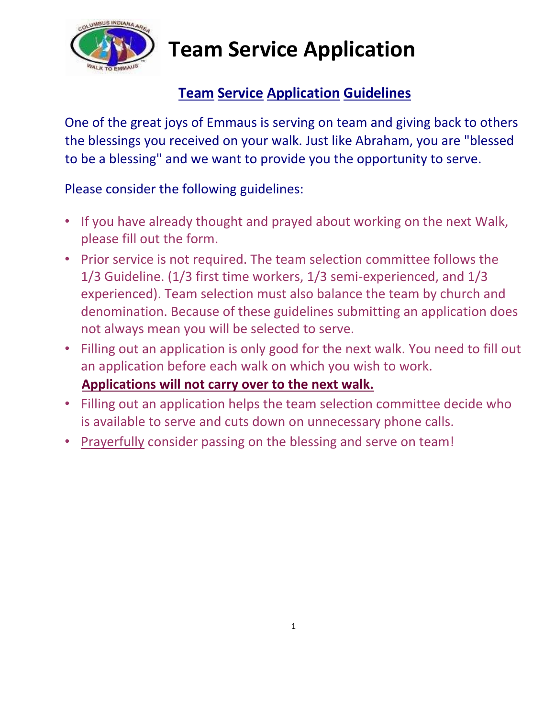

## **Team Service Application**

### **Team Service Application Guidelines**

One of the great joys of Emmaus is serving on team and giving back to others the blessings you received on your walk. Just like Abraham, you are "blessed to be a blessing" and we want to provide you the opportunity to serve.

#### Please consider the following guidelines:

- If you have already thought and prayed about working on the next Walk, please fill out the form.
- Prior service is not required. The team selection committee follows the 1/3 Guideline. (1/3 first time workers, 1/3 semi-experienced, and 1/3 experienced). Team selection must also balance the team by church and denomination. Because of these guidelines submitting an application does not always mean you will be selected to serve.
- Filling out an application is only good for the next walk. You need to fill out an application before each walk on which you wish to work.
	- **Applications will not carry over to the next walk.**
- Filling out an application helps the team selection committee decide who is available to serve and cuts down on unnecessary phone calls.
- Prayerfully consider passing on the blessing and serve on team!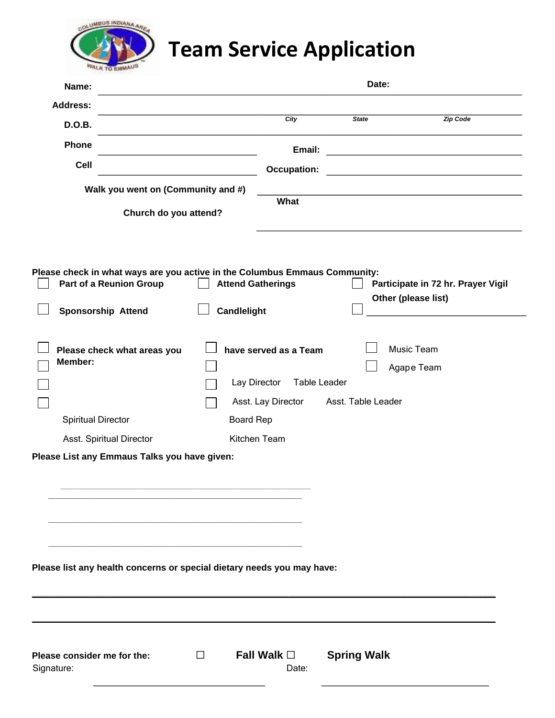

# **Team Service Application**

| Name:                                                                                                                              |                                    |                  |                                       |                    | Date:                                                     |
|------------------------------------------------------------------------------------------------------------------------------------|------------------------------------|------------------|---------------------------------------|--------------------|-----------------------------------------------------------|
| <b>Address:</b>                                                                                                                    |                                    |                  |                                       |                    |                                                           |
| D.O.B.                                                                                                                             |                                    |                  | City                                  | <b>State</b>       | <b>Zip Code</b>                                           |
| Phone                                                                                                                              |                                    |                  | Email:                                |                    |                                                           |
| Cell                                                                                                                               |                                    |                  | <b>Occupation:</b>                    |                    |                                                           |
|                                                                                                                                    | Walk you went on (Community and #) |                  |                                       |                    |                                                           |
|                                                                                                                                    | Church do you attend?              |                  | What                                  |                    |                                                           |
| Please check in what ways are you active in the Columbus Emmaus Community:<br>Part of a Reunion Group<br><b>Sponsorship Attend</b> |                                    | Candlelight      | <b>Attend Gatherings</b>              |                    | Participate in 72 hr. Prayer Vigil<br>Other (please list) |
|                                                                                                                                    |                                    |                  |                                       |                    |                                                           |
| Member:                                                                                                                            | Please check what areas you        |                  | have served as a Team<br>Lay Director | Table Leader       | Music Team<br>Agape Team                                  |
| <b>Spiritual Director</b>                                                                                                          |                                    | <b>Board Rep</b> | Asst. Lay Director                    | Asst. Table Leader |                                                           |
| Asst. Spiritual Director                                                                                                           |                                    |                  | Kitchen Team                          |                    |                                                           |
| Please List any Emmaus Talks you have given:                                                                                       |                                    |                  |                                       |                    |                                                           |
| Please list any health concerns or special dietary needs you may have:                                                             |                                    |                  |                                       |                    |                                                           |
| Please consider me for the:<br>Signature:                                                                                          |                                    | $\Box$           | Fall Walk $\square$<br>Date:          | <b>Spring Walk</b> |                                                           |